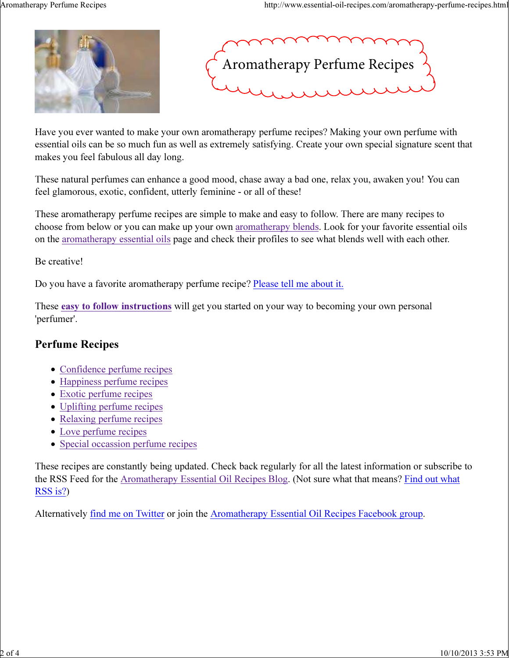



Have you ever wanted to make your own aromatherapy perfume recipes? Making your own perfume with essential oils can be so much fun as well as extremely satisfying. Create your own special signature scent that makes you feel fabulous all day long.

These natural perfumes can enhance a good mood, chase away a bad one, relax you, awaken you! You can feel glamorous, exotic, confident, utterly feminine - or all of these!

These aromatherapy perfume recipes are simple to make and easy to follow. There are many recipes to choose from below or you can make up your own aromatherapy blends. Look for your favorite essential oils on the aromatherapy essential oils page and check their profiles to see what blends well with each other.

#### Be creative!

Do you have a favorite aromatherapy perfume recipe? Please tell me about it.

These easy to follow instructions will get you started on your way to becoming your own personal 'perfumer'.

#### Perfume Recipes

- Confidence perfume recipes
- Happiness perfume recipes
- Exotic perfume recipes
- Uplifting perfume recipes
- Relaxing perfume recipes
- Love perfume recipes
- Special occassion perfume recipes

These recipes are constantly being updated. Check back regularly for all the latest information or subscribe to the RSS Feed for the Aromatherapy Essential Oil Recipes Blog. (Not sure what that means? Find out what RSS is?)

Alternatively find me on Twitter or join the Aromatherapy Essential Oil Recipes Facebook group.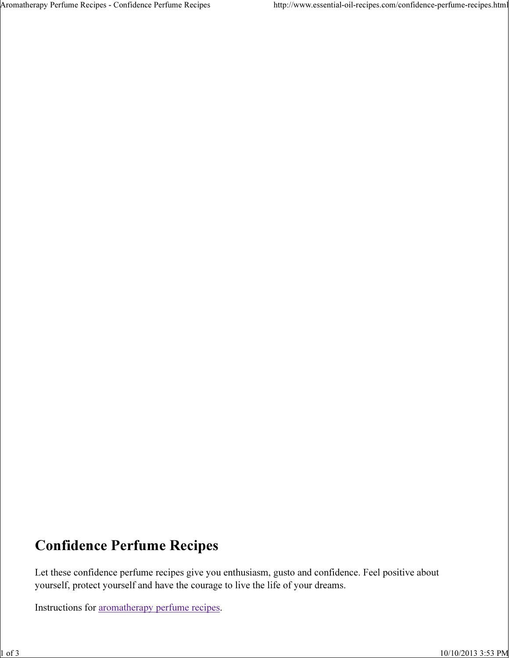Aromatherapy Perfume Recipes - Confidence Perfume Recipes http://www.essential-oil-recipes.com/confidence-perfume-recipes.html

## Confidence Perfume Recipes

Let these confidence perfume recipes give you enthusiasm, gusto and confidence. Feel positive about yourself, protect yourself and have the courage to live the life of your dreams.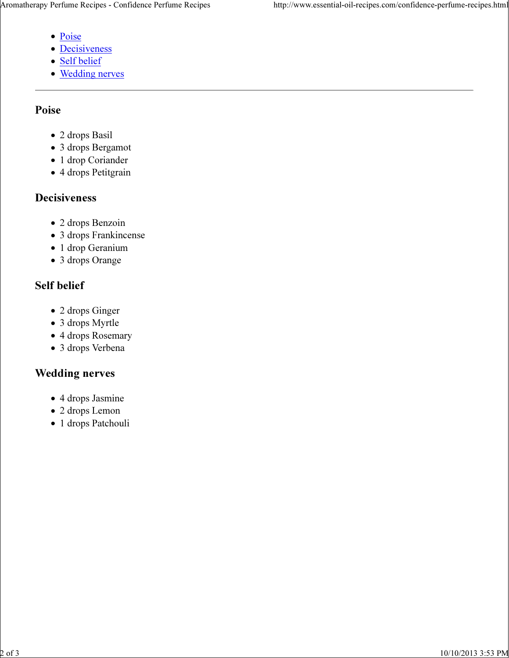- Poise
- Decisiveness
- Self belief
- Wedding nerves

### Poise

- 2 drops Basil
- 3 drops Bergamot
- 1 drop Coriander
- 4 drops Petitgrain

### Decisiveness

- 2 drops Benzoin
- 3 drops Frankincense
- 1 drop Geranium
- 3 drops Orange

## Self belief

- 2 drops Ginger
- 3 drops Myrtle
- 4 drops Rosemary
- 3 drops Verbena

### Wedding nerves

- 4 drops Jasmine
- 2 drops Lemon
- 1 drops Patchouli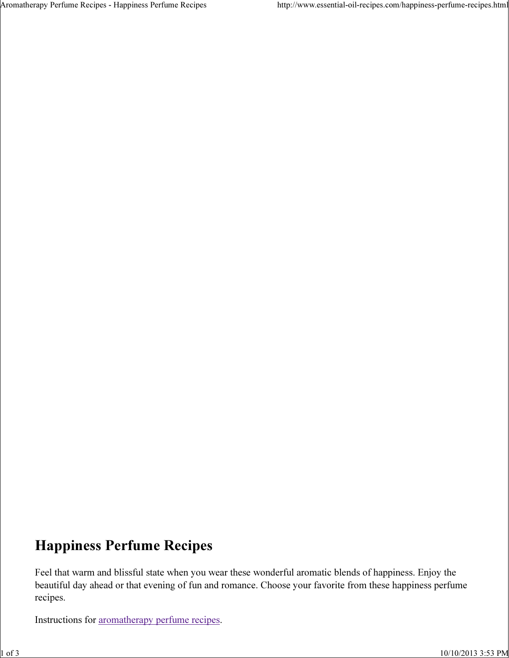Aromatherapy Perfume Recipes - Happiness Perfume Recipes http://www.essential-oil-recipes.com/happiness-perfume-recipes.html

## Happiness Perfume Recipes

Feel that warm and blissful state when you wear these wonderful aromatic blends of happiness. Enjoy the beautiful day ahead or that evening of fun and romance. Choose your favorite from these happiness perfume recipes.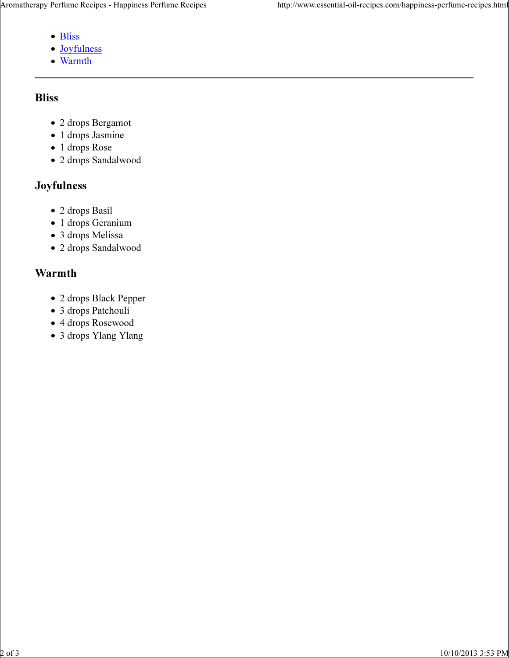- Bliss
- Joyfulness
- Warmth

## Bliss

- 2 drops Bergamot
- 1 drops Jasmine
- 1 drops Rose
- 2 drops Sandalwood

## Joyfulness

- 2 drops Basil
- 1 drops Geranium
- 3 drops Melissa
- 2 drops Sandalwood

## Warmth

- 2 drops Black Pepper
- 3 drops Patchouli
- 4 drops Rosewood
- 3 drops Ylang Ylang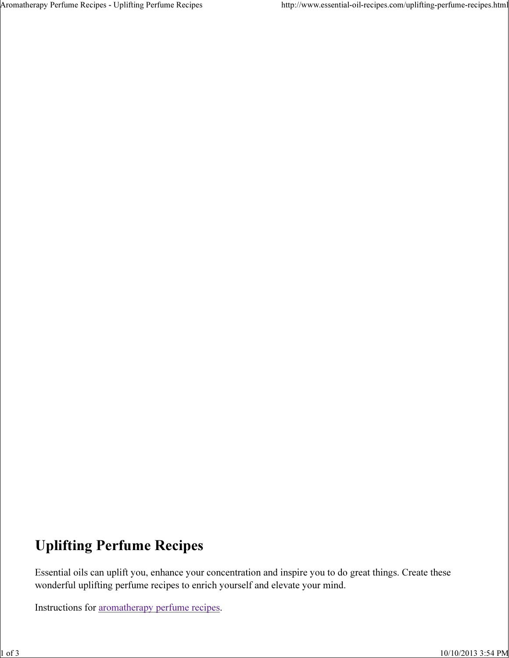# Uplifting Perfume Recipes

Essential oils can uplift you, enhance your concentration and inspire you to do great things. Create these wonderful uplifting perfume recipes to enrich yourself and elevate your mind.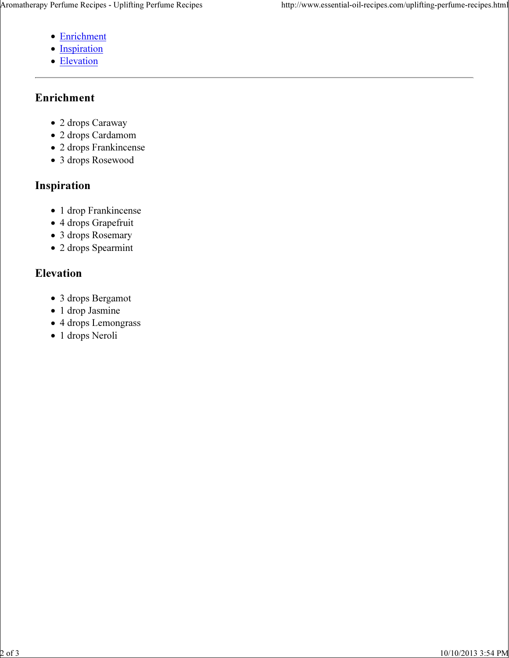- Enrichment
- Inspiration
- Elevation

## Enrichment

- 2 drops Caraway
- 2 drops Cardamom
- 2 drops Frankincense
- 3 drops Rosewood

### Inspiration

- 1 drop Frankincense
- 4 drops Grapefruit
- 3 drops Rosemary
- 2 drops Spearmint

## Elevation

- 3 drops Bergamot
- 1 drop Jasmine
- 4 drops Lemongrass
- 1 drops Neroli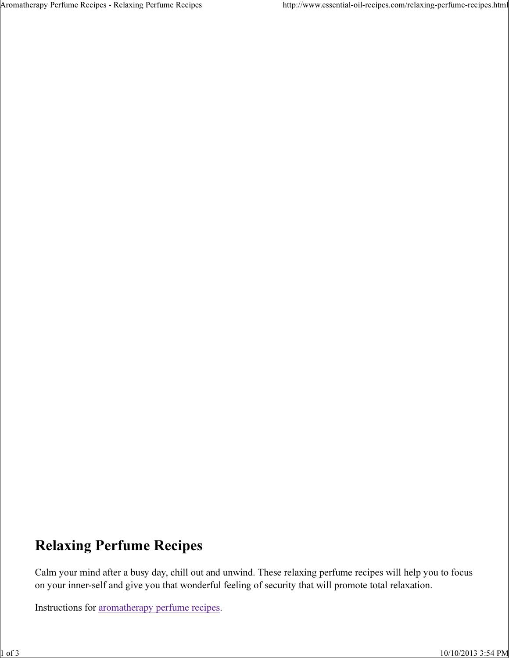## Relaxing Perfume Recipes

Calm your mind after a busy day, chill out and unwind. These relaxing perfume recipes will help you to focus on your inner-self and give you that wonderful feeling of security that will promote total relaxation.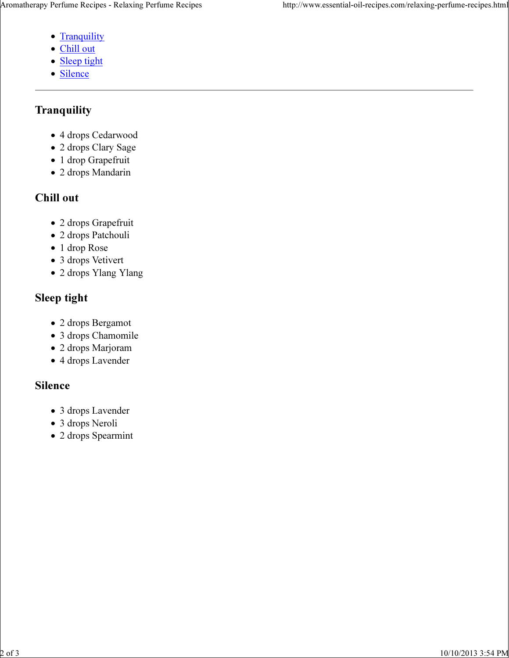- Tranquility
- Chill out
- Sleep tight
- Silence

### **Tranquility**

- 4 drops Cedarwood
- 2 drops Clary Sage
- 1 drop Grapefruit
- 2 drops Mandarin

## Chill out

- 2 drops Grapefruit
- 2 drops Patchouli
- 1 drop Rose
- 3 drops Vetivert
- 2 drops Ylang Ylang

## Sleep tight

- 2 drops Bergamot
- 3 drops Chamomile
- 2 drops Marjoram
- 4 drops Lavender

## Silence

- 3 drops Lavender
- 3 drops Neroli
- 2 drops Spearmint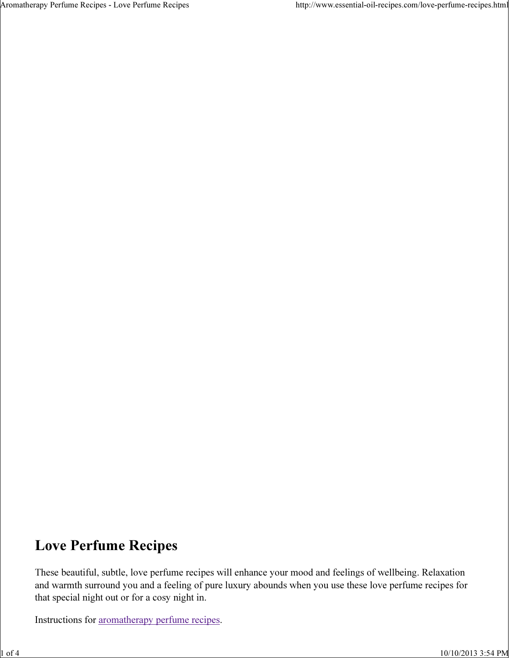## Love Perfume Recipes

These beautiful, subtle, love perfume recipes will enhance your mood and feelings of wellbeing. Relaxation and warmth surround you and a feeling of pure luxury abounds when you use these love perfume recipes for that special night out or for a cosy night in.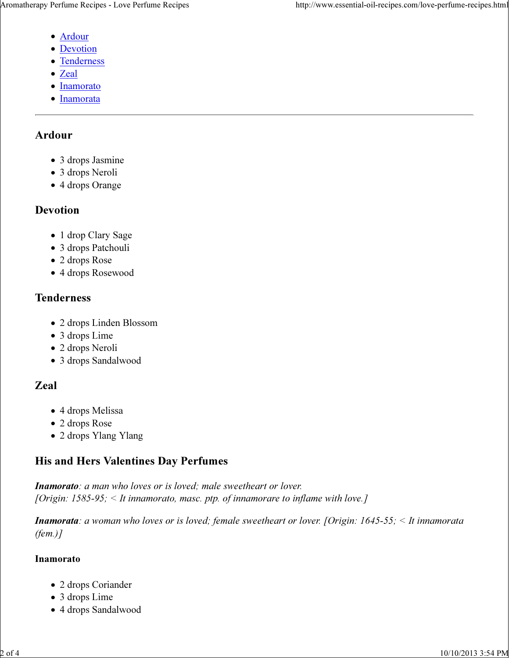- Ardour
- Devotion
- Tenderness
- Zeal
- Inamorato
- Inamorata

### Ardour

- 3 drops Jasmine
- 3 drops Neroli
- 4 drops Orange

### Devotion

- 1 drop Clary Sage
- 3 drops Patchouli
- 2 drops Rose
- 4 drops Rosewood

### Tenderness

- 2 drops Linden Blossom
- 3 drops Lime
- 2 drops Neroli
- 3 drops Sandalwood

## Zeal

- 4 drops Melissa
- 2 drops Rose
- 2 drops Ylang Ylang

## His and Hers Valentines Day Perfumes

Inamorato: a man who loves or is loved; male sweetheart or lover. [Origin:  $1585-95$ ;  $\leq$  It innamorato, masc. ptp. of innamorare to inflame with love.]

**Inamorata**: a woman who loves or is loved; female sweetheart or lover. [Origin: 1645-55;  $\leq$  It innamorata (fem.)]

### Inamorato

- 2 drops Coriander
- 3 drops Lime
- 4 drops Sandalwood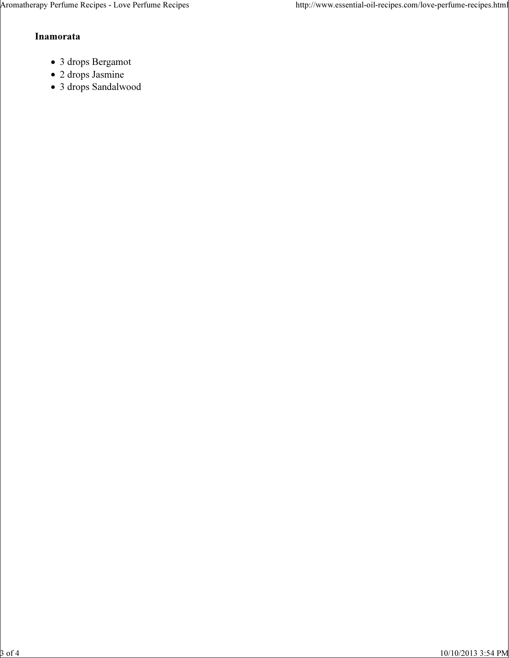#### Inamorata

- 3 drops Bergamot
- 2 drops Jasmine
- 3 drops Sandalwood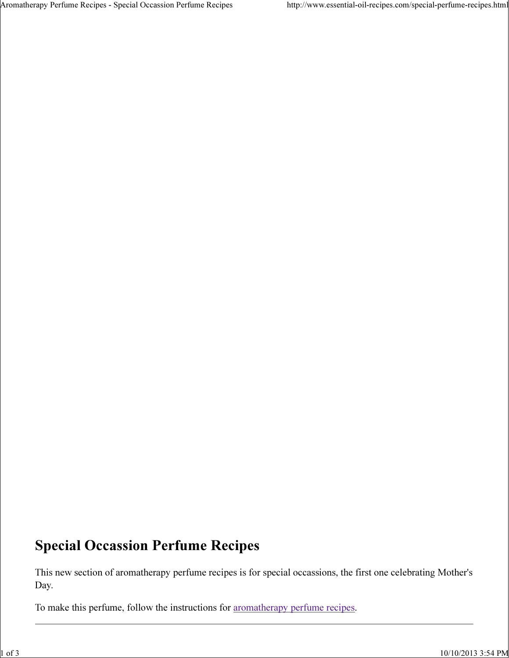# Special Occassion Perfume Recipes

This new section of aromatherapy perfume recipes is for special occassions, the first one celebrating Mother's Day.

To make this perfume, follow the instructions for aromatherapy perfume recipes.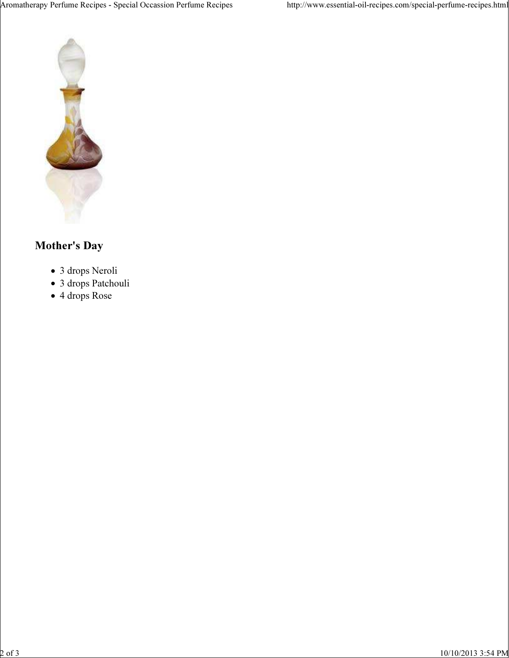

## Mother's Day

- 3 drops Neroli
- 3 drops Patchouli
- 4 drops Rose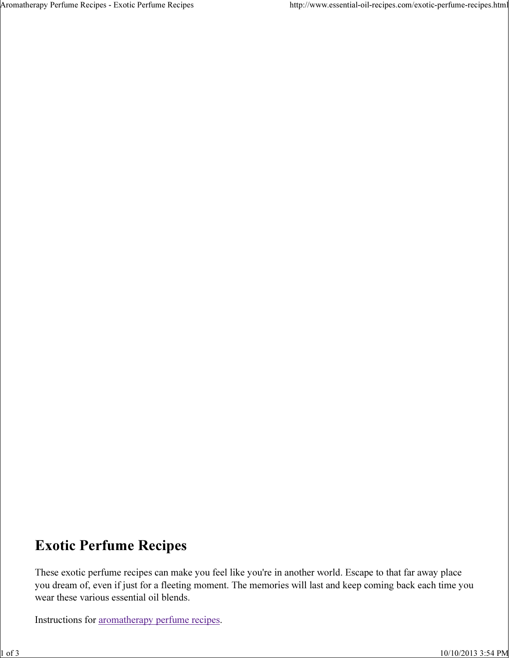# Exotic Perfume Recipes

These exotic perfume recipes can make you feel like you're in another world. Escape to that far away place you dream of, even if just for a fleeting moment. The memories will last and keep coming back each time you wear these various essential oil blends.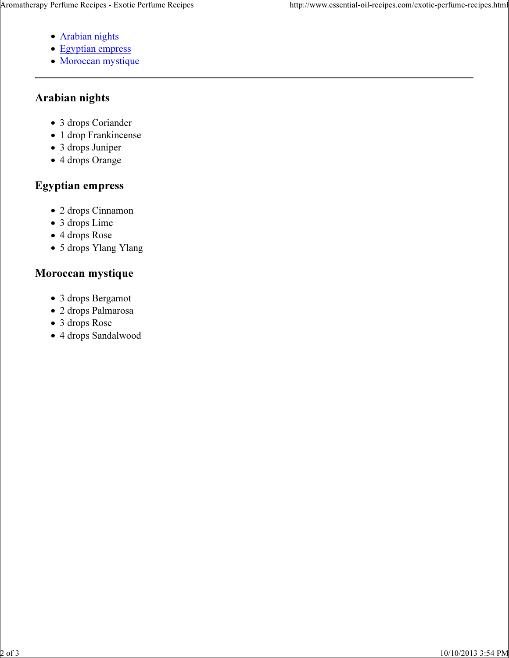- Arabian nights
- Egyptian empress
- Moroccan mystique

### Arabian nights

- 3 drops Coriander
- 1 drop Frankincense
- 3 drops Juniper
- 4 drops Orange

### Egyptian empress

- 2 drops Cinnamon
- 3 drops Lime
- 4 drops Rose
- 5 drops Ylang Ylang

### Moroccan mystique

- 3 drops Bergamot
- 2 drops Palmarosa
- 3 drops Rose
- 4 drops Sandalwood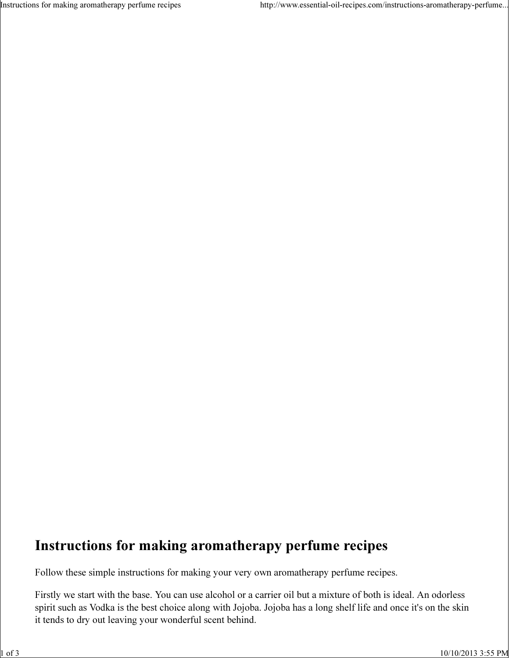Instructions for making aromatherapy perfume recipes http://www.essential-oil-recipes.com/instructions-aromatherapy-perfume...

# Instructions for making aromatherapy perfume recipes

Follow these simple instructions for making your very own aromatherapy perfume recipes.

Firstly we start with the base. You can use alcohol or a carrier oil but a mixture of both is ideal. An odorless spirit such as Vodka is the best choice along with Jojoba. Jojoba has a long shelf life and once it's on the skin it tends to dry out leaving your wonderful scent behind.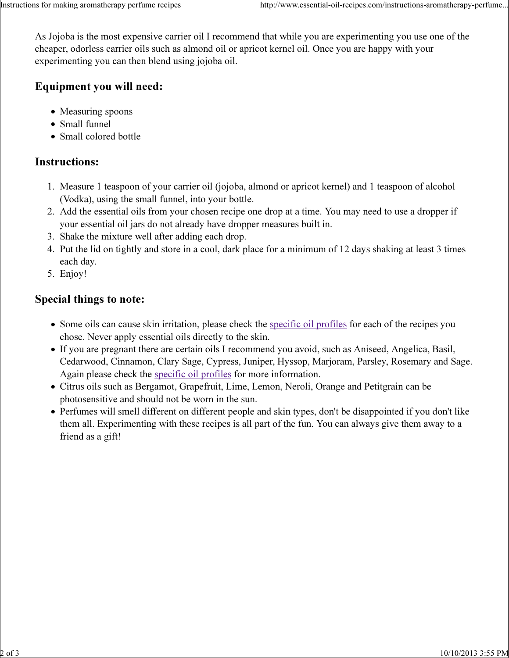As Jojoba is the most expensive carrier oil I recommend that while you are experimenting you use one of the cheaper, odorless carrier oils such as almond oil or apricot kernel oil. Once you are happy with your experimenting you can then blend using jojoba oil.

### Equipment you will need:

- Measuring spoons
- Small funnel
- Small colored bottle

## Instructions:

- Measure 1 teaspoon of your carrier oil (jojoba, almond or apricot kernel) and 1 teaspoon of alcohol 1. (Vodka), using the small funnel, into your bottle.
- Add the essential oils from your chosen recipe one drop at a time. You may need to use a dropper if 2. your essential oil jars do not already have dropper measures built in.
- 3. Shake the mixture well after adding each drop.
- 4. Put the lid on tightly and store in a cool, dark place for a minimum of 12 days shaking at least 3 times each day.
- 5. Enjoy!

### Special things to note:

- Some oils can cause skin irritation, please check the specific oil profiles for each of the recipes you chose. Never apply essential oils directly to the skin.
- If you are pregnant there are certain oils I recommend you avoid, such as Aniseed, Angelica, Basil, Cedarwood, Cinnamon, Clary Sage, Cypress, Juniper, Hyssop, Marjoram, Parsley, Rosemary and Sage. Again please check the specific oil profiles for more information.
- Citrus oils such as Bergamot, Grapefruit, Lime, Lemon, Neroli, Orange and Petitgrain can be photosensitive and should not be worn in the sun.
- Perfumes will smell different on different people and skin types, don't be disappointed if you don't like them all. Experimenting with these recipes is all part of the fun. You can always give them away to a friend as a gift!